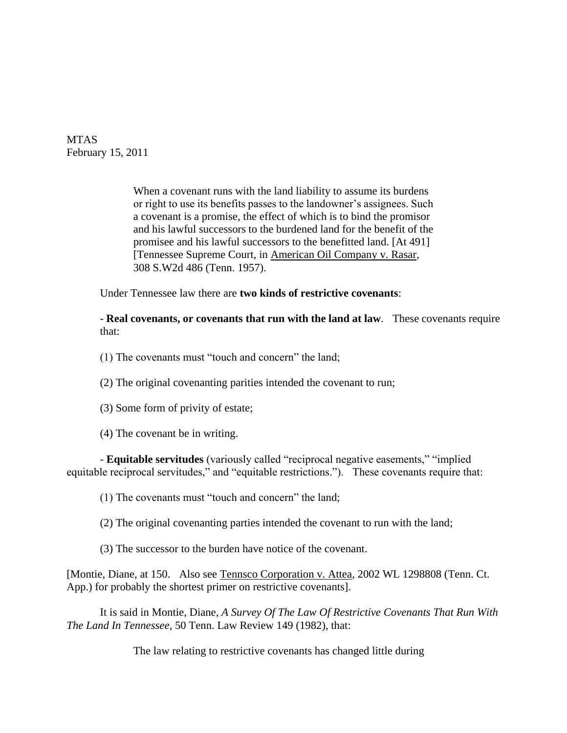MTAS February 15, 2011

> When a covenant runs with the land liability to assume its burdens or right to use its benefits passes to the landowner"s assignees. Such a covenant is a promise, the effect of which is to bind the promisor and his lawful successors to the burdened land for the benefit of the promisee and his lawful successors to the benefitted land. [At 491] [Tennessee Supreme Court, in American Oil Company v. Rasar, 308 S.W2d 486 (Tenn. 1957).

Under Tennessee law there are **two kinds of restrictive covenants**:

- **Real covenants, or covenants that run with the land at law**. These covenants require that:

- (1) The covenants must "touch and concern" the land;
- (2) The original covenanting parities intended the covenant to run;
- (3) Some form of privity of estate;

(4) The covenant be in writing.

- **Equitable servitudes** (variously called "reciprocal negative easements," "implied equitable reciprocal servitudes," and "equitable restrictions."). These covenants require that:

(1) The covenants must "touch and concern" the land;

(2) The original covenanting parties intended the covenant to run with the land;

(3) The successor to the burden have notice of the covenant.

[Montie, Diane, at 150. Also see Tennsco Corporation v. Attea, 2002 WL 1298808 (Tenn. Ct. App.) for probably the shortest primer on restrictive covenants].

It is said in Montie, Diane, *A Survey Of The Law Of Restrictive Covenants That Run With The Land In Tennessee*, 50 Tenn. Law Review 149 (1982), that:

The law relating to restrictive covenants has changed little during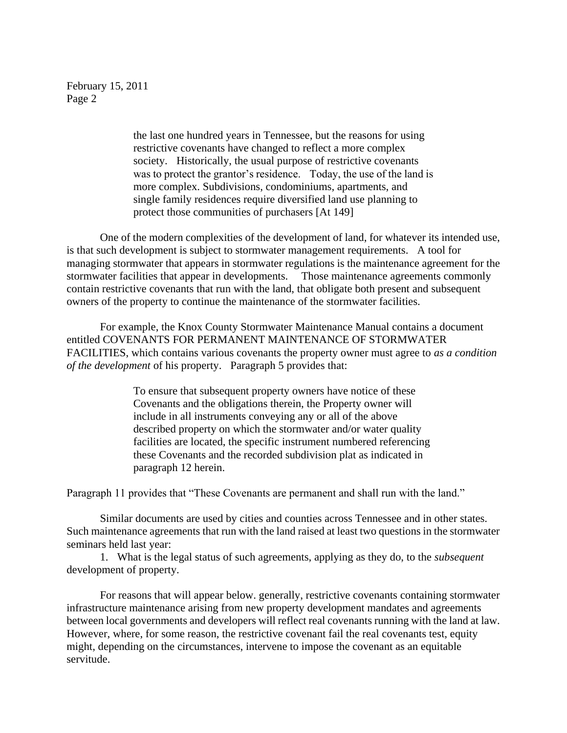> the last one hundred years in Tennessee, but the reasons for using restrictive covenants have changed to reflect a more complex society. Historically, the usual purpose of restrictive covenants was to protect the grantor's residence. Today, the use of the land is more complex. Subdivisions, condominiums, apartments, and single family residences require diversified land use planning to protect those communities of purchasers [At 149]

One of the modern complexities of the development of land, for whatever its intended use, is that such development is subject to stormwater management requirements. A tool for managing stormwater that appears in stormwater regulations is the maintenance agreement for the stormwater facilities that appear in developments. Those maintenance agreements commonly contain restrictive covenants that run with the land, that obligate both present and subsequent owners of the property to continue the maintenance of the stormwater facilities.

For example, the Knox County Stormwater Maintenance Manual contains a document entitled COVENANTS FOR PERMANENT MAINTENANCE OF STORMWATER FACILITIES, which contains various covenants the property owner must agree to *as a condition of the development* of his property. Paragraph 5 provides that:

> To ensure that subsequent property owners have notice of these Covenants and the obligations therein, the Property owner will include in all instruments conveying any or all of the above described property on which the stormwater and/or water quality facilities are located, the specific instrument numbered referencing these Covenants and the recorded subdivision plat as indicated in paragraph 12 herein.

Paragraph 11 provides that "These Covenants are permanent and shall run with the land."

Similar documents are used by cities and counties across Tennessee and in other states. Such maintenance agreements that run with the land raised at least two questions in the stormwater seminars held last year:

1. What is the legal status of such agreements, applying as they do, to the *subsequent* development of property.

For reasons that will appear below. generally, restrictive covenants containing stormwater infrastructure maintenance arising from new property development mandates and agreements between local governments and developers will reflect real covenants running with the land at law. However, where, for some reason, the restrictive covenant fail the real covenants test, equity might, depending on the circumstances, intervene to impose the covenant as an equitable servitude.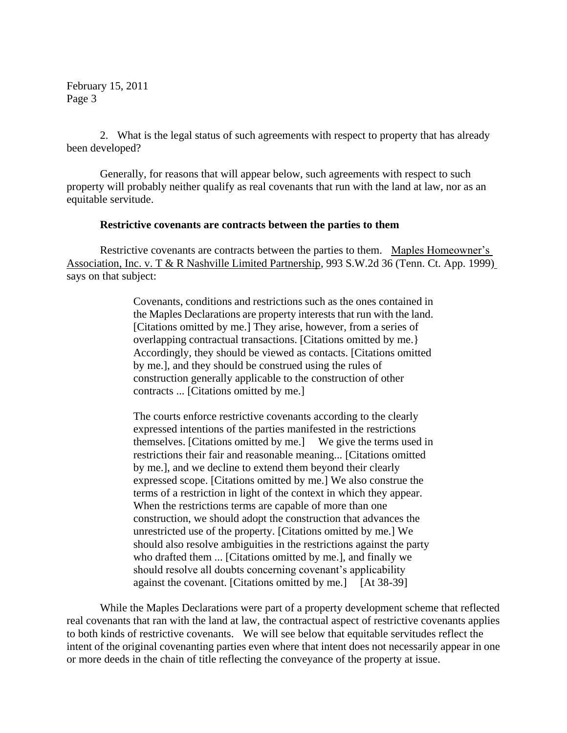2. What is the legal status of such agreements with respect to property that has already been developed?

Generally, for reasons that will appear below, such agreements with respect to such property will probably neither qualify as real covenants that run with the land at law, nor as an equitable servitude.

### **Restrictive covenants are contracts between the parties to them**

Restrictive covenants are contracts between the parties to them. Maples Homeowner"s Association, Inc. v. T & R Nashville Limited Partnership, 993 S.W.2d 36 (Tenn. Ct. App. 1999) says on that subject:

> Covenants, conditions and restrictions such as the ones contained in the Maples Declarations are property interests that run with the land. [Citations omitted by me.] They arise, however, from a series of overlapping contractual transactions. [Citations omitted by me.} Accordingly, they should be viewed as contacts. [Citations omitted by me.], and they should be construed using the rules of construction generally applicable to the construction of other contracts ... [Citations omitted by me.]

> The courts enforce restrictive covenants according to the clearly expressed intentions of the parties manifested in the restrictions themselves. [Citations omitted by me.] We give the terms used in restrictions their fair and reasonable meaning... [Citations omitted by me.], and we decline to extend them beyond their clearly expressed scope. [Citations omitted by me.] We also construe the terms of a restriction in light of the context in which they appear. When the restrictions terms are capable of more than one construction, we should adopt the construction that advances the unrestricted use of the property. [Citations omitted by me.] We should also resolve ambiguities in the restrictions against the party who drafted them ... [Citations omitted by me.], and finally we should resolve all doubts concerning covenant's applicability against the covenant. [Citations omitted by me.] [At 38-39]

While the Maples Declarations were part of a property development scheme that reflected real covenants that ran with the land at law, the contractual aspect of restrictive covenants applies to both kinds of restrictive covenants. We will see below that equitable servitudes reflect the intent of the original covenanting parties even where that intent does not necessarily appear in one or more deeds in the chain of title reflecting the conveyance of the property at issue.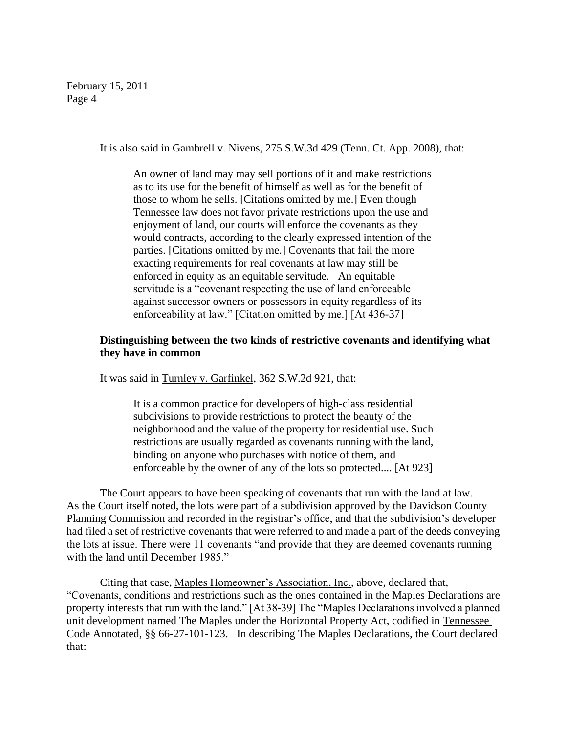It is also said in Gambrell v. Nivens, 275 S.W.3d 429 (Tenn. Ct. App. 2008), that:

An owner of land may may sell portions of it and make restrictions as to its use for the benefit of himself as well as for the benefit of those to whom he sells. [Citations omitted by me.] Even though Tennessee law does not favor private restrictions upon the use and enjoyment of land, our courts will enforce the covenants as they would contracts, according to the clearly expressed intention of the parties. [Citations omitted by me.] Covenants that fail the more exacting requirements for real covenants at law may still be enforced in equity as an equitable servitude. An equitable servitude is a "covenant respecting the use of land enforceable against successor owners or possessors in equity regardless of its enforceability at law." [Citation omitted by me.] [At 436-37]

# **Distinguishing between the two kinds of restrictive covenants and identifying what they have in common**

It was said in Turnley v. Garfinkel, 362 S.W.2d 921, that:

It is a common practice for developers of high-class residential subdivisions to provide restrictions to protect the beauty of the neighborhood and the value of the property for residential use. Such restrictions are usually regarded as covenants running with the land, binding on anyone who purchases with notice of them, and enforceable by the owner of any of the lots so protected.... [At 923]

The Court appears to have been speaking of covenants that run with the land at law. As the Court itself noted, the lots were part of a subdivision approved by the Davidson County Planning Commission and recorded in the registrar's office, and that the subdivision's developer had filed a set of restrictive covenants that were referred to and made a part of the deeds conveying the lots at issue. There were 11 covenants "and provide that they are deemed covenants running with the land until December 1985."

Citing that case, Maples Homeowner"s Association, Inc., above, declared that, "Covenants, conditions and restrictions such as the ones contained in the Maples Declarations are property interests that run with the land." [At 38-39] The "Maples Declarations involved a planned unit development named The Maples under the Horizontal Property Act, codified in Tennessee Code Annotated, §§ 66-27-101-123. In describing The Maples Declarations, the Court declared that: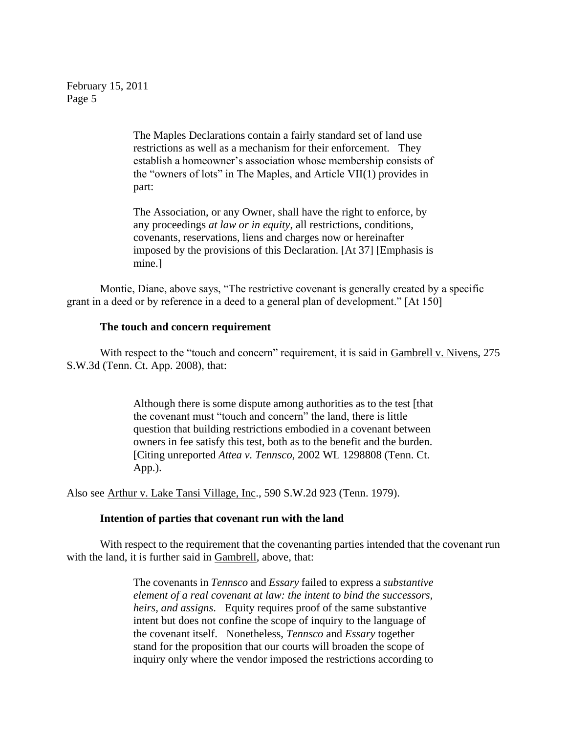> The Maples Declarations contain a fairly standard set of land use restrictions as well as a mechanism for their enforcement. They establish a homeowner"s association whose membership consists of the "owners of lots" in The Maples, and Article VII(1) provides in part:

> The Association, or any Owner, shall have the right to enforce, by any proceedings *at law or in equity*, all restrictions, conditions, covenants, reservations, liens and charges now or hereinafter imposed by the provisions of this Declaration. [At 37] [Emphasis is mine.]

Montie, Diane, above says, "The restrictive covenant is generally created by a specific grant in a deed or by reference in a deed to a general plan of development." [At 150]

### **The touch and concern requirement**

With respect to the "touch and concern" requirement, it is said in Gambrell v. Nivens, 275 S.W.3d (Tenn. Ct. App. 2008), that:

> Although there is some dispute among authorities as to the test [that the covenant must "touch and concern" the land, there is little question that building restrictions embodied in a covenant between owners in fee satisfy this test, both as to the benefit and the burden. [Citing unreported *Attea v. Tennsco*, 2002 WL 1298808 (Tenn. Ct. App.).

Also see Arthur v. Lake Tansi Village, Inc., 590 S.W.2d 923 (Tenn. 1979).

### **Intention of parties that covenant run with the land**

With respect to the requirement that the covenanting parties intended that the covenant run with the land, it is further said in Gambrell, above, that:

> The covenants in *Tennsco* and *Essary* failed to express a *substantive element of a real covenant at law: the intent to bind the successors, heirs, and assigns*. Equity requires proof of the same substantive intent but does not confine the scope of inquiry to the language of the covenant itself. Nonetheless, *Tennsco* and *Essary* together stand for the proposition that our courts will broaden the scope of inquiry only where the vendor imposed the restrictions according to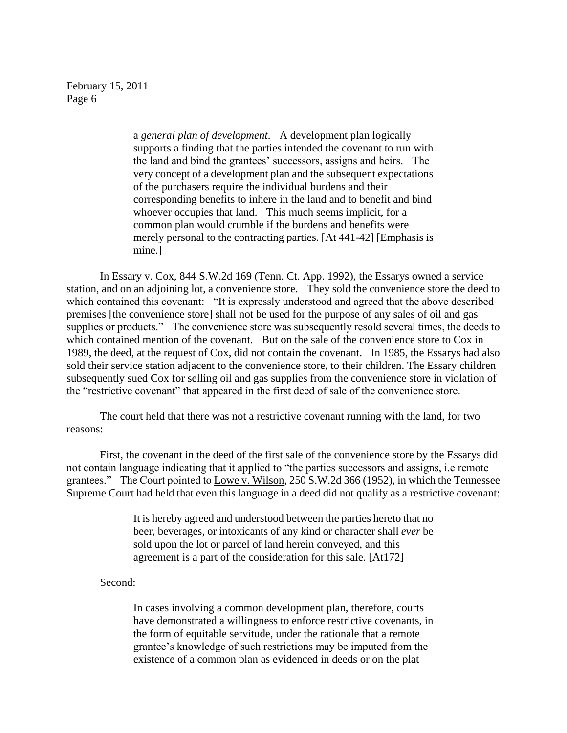> a *general plan of development*. A development plan logically supports a finding that the parties intended the covenant to run with the land and bind the grantees" successors, assigns and heirs. The very concept of a development plan and the subsequent expectations of the purchasers require the individual burdens and their corresponding benefits to inhere in the land and to benefit and bind whoever occupies that land. This much seems implicit, for a common plan would crumble if the burdens and benefits were merely personal to the contracting parties. [At 441-42] [Emphasis is mine.]

In Essary v. Cox, 844 S.W.2d 169 (Tenn. Ct. App. 1992), the Essarys owned a service station, and on an adjoining lot, a convenience store. They sold the convenience store the deed to which contained this covenant: "It is expressly understood and agreed that the above described premises [the convenience store] shall not be used for the purpose of any sales of oil and gas supplies or products." The convenience store was subsequently resold several times, the deeds to which contained mention of the covenant. But on the sale of the convenience store to Cox in 1989, the deed, at the request of Cox, did not contain the covenant. In 1985, the Essarys had also sold their service station adjacent to the convenience store, to their children. The Essary children subsequently sued Cox for selling oil and gas supplies from the convenience store in violation of the "restrictive covenant" that appeared in the first deed of sale of the convenience store.

The court held that there was not a restrictive covenant running with the land, for two reasons:

First, the covenant in the deed of the first sale of the convenience store by the Essarys did not contain language indicating that it applied to "the parties successors and assigns, i.e remote grantees." The Court pointed to Lowe v. Wilson, 250 S.W.2d 366 (1952), in which the Tennessee Supreme Court had held that even this language in a deed did not qualify as a restrictive covenant:

> It is hereby agreed and understood between the parties hereto that no beer, beverages, or intoxicants of any kind or character shall *ever* be sold upon the lot or parcel of land herein conveyed, and this agreement is a part of the consideration for this sale. [At172]

Second:

In cases involving a common development plan, therefore, courts have demonstrated a willingness to enforce restrictive covenants, in the form of equitable servitude, under the rationale that a remote grantee"s knowledge of such restrictions may be imputed from the existence of a common plan as evidenced in deeds or on the plat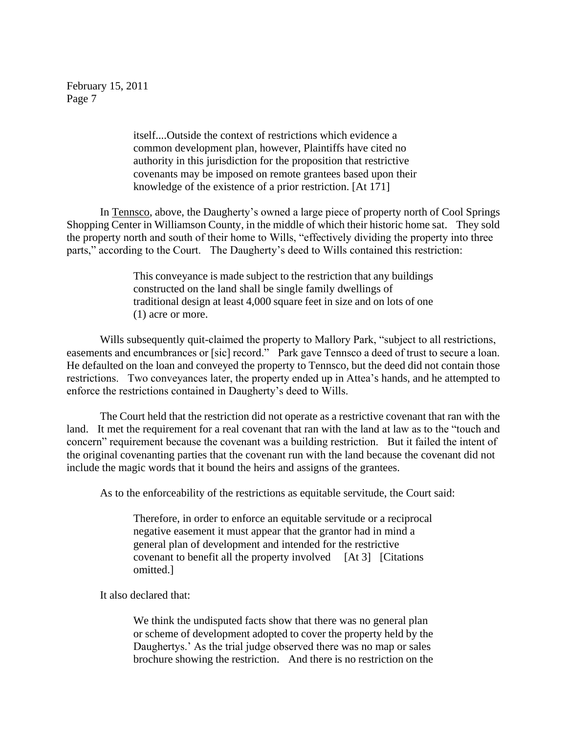> itself....Outside the context of restrictions which evidence a common development plan, however, Plaintiffs have cited no authority in this jurisdiction for the proposition that restrictive covenants may be imposed on remote grantees based upon their knowledge of the existence of a prior restriction. [At 171]

In Tennsco, above, the Daugherty"s owned a large piece of property north of Cool Springs Shopping Center in Williamson County, in the middle of which their historic home sat. They sold the property north and south of their home to Wills, "effectively dividing the property into three parts," according to the Court. The Daugherty's deed to Wills contained this restriction:

> This conveyance is made subject to the restriction that any buildings constructed on the land shall be single family dwellings of traditional design at least 4,000 square feet in size and on lots of one (1) acre or more.

Wills subsequently quit-claimed the property to Mallory Park, "subject to all restrictions, easements and encumbrances or [sic] record." Park gave Tennsco a deed of trust to secure a loan. He defaulted on the loan and conveyed the property to Tennsco, but the deed did not contain those restrictions. Two conveyances later, the property ended up in Attea's hands, and he attempted to enforce the restrictions contained in Daugherty"s deed to Wills.

The Court held that the restriction did not operate as a restrictive covenant that ran with the land. It met the requirement for a real covenant that ran with the land at law as to the "touch and concern" requirement because the covenant was a building restriction. But it failed the intent of the original covenanting parties that the covenant run with the land because the covenant did not include the magic words that it bound the heirs and assigns of the grantees.

As to the enforceability of the restrictions as equitable servitude, the Court said:

Therefore, in order to enforce an equitable servitude or a reciprocal negative easement it must appear that the grantor had in mind a general plan of development and intended for the restrictive covenant to benefit all the property involved [At 3] [Citations omitted.]

It also declared that:

We think the undisputed facts show that there was no general plan or scheme of development adopted to cover the property held by the Daughertys.' As the trial judge observed there was no map or sales brochure showing the restriction. And there is no restriction on the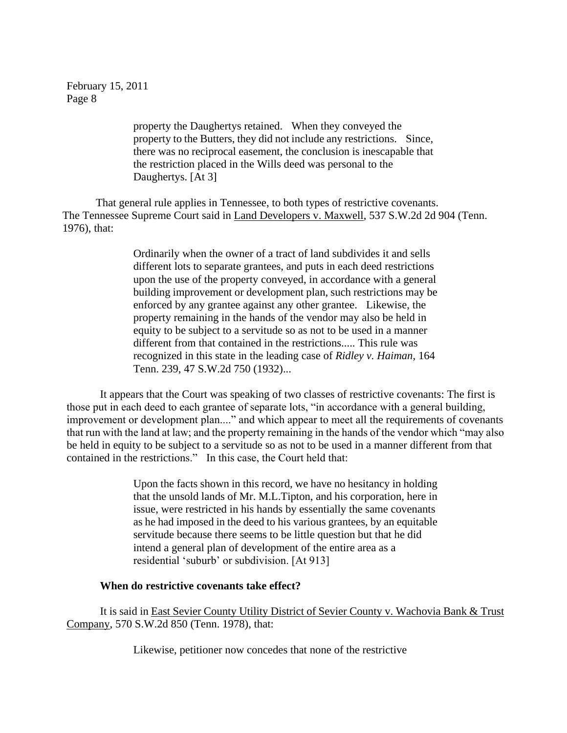> property the Daughertys retained. When they conveyed the property to the Butters, they did not include any restrictions. Since, there was no reciprocal easement, the conclusion is inescapable that the restriction placed in the Wills deed was personal to the Daughertys. [At 3]

That general rule applies in Tennessee, to both types of restrictive covenants. The Tennessee Supreme Court said in Land Developers v. Maxwell, 537 S.W.2d 2d 904 (Tenn. 1976), that:

> Ordinarily when the owner of a tract of land subdivides it and sells different lots to separate grantees, and puts in each deed restrictions upon the use of the property conveyed, in accordance with a general building improvement or development plan, such restrictions may be enforced by any grantee against any other grantee. Likewise, the property remaining in the hands of the vendor may also be held in equity to be subject to a servitude so as not to be used in a manner different from that contained in the restrictions..... This rule was recognized in this state in the leading case of *Ridley v. Haiman*, 164 Tenn. 239, 47 S.W.2d 750 (1932)...

It appears that the Court was speaking of two classes of restrictive covenants: The first is those put in each deed to each grantee of separate lots, "in accordance with a general building, improvement or development plan...." and which appear to meet all the requirements of covenants that run with the land at law; and the property remaining in the hands of the vendor which "may also be held in equity to be subject to a servitude so as not to be used in a manner different from that contained in the restrictions." In this case, the Court held that:

> Upon the facts shown in this record, we have no hesitancy in holding that the unsold lands of Mr. M.L.Tipton, and his corporation, here in issue, were restricted in his hands by essentially the same covenants as he had imposed in the deed to his various grantees, by an equitable servitude because there seems to be little question but that he did intend a general plan of development of the entire area as a residential "suburb" or subdivision. [At 913]

## **When do restrictive covenants take effect?**

It is said in East Sevier County Utility District of Sevier County v. Wachovia Bank & Trust Company, 570 S.W.2d 850 (Tenn. 1978), that:

Likewise, petitioner now concedes that none of the restrictive